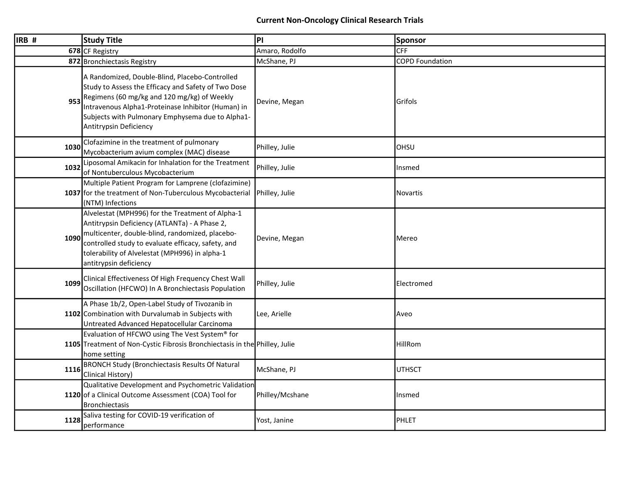| $\overline{\mathsf{IRB}}$ # | <b>Study Title</b>                                                                                                                                                                                                                                                                       | PI              | Sponsor                |
|-----------------------------|------------------------------------------------------------------------------------------------------------------------------------------------------------------------------------------------------------------------------------------------------------------------------------------|-----------------|------------------------|
|                             | 678 CF Registry                                                                                                                                                                                                                                                                          | Amaro, Rodolfo  | <b>CFF</b>             |
|                             | 872 Bronchiectasis Registry                                                                                                                                                                                                                                                              | McShane, PJ     | <b>COPD Foundation</b> |
| 953                         | A Randomized, Double-Blind, Placebo-Controlled<br>Study to Assess the Efficacy and Safety of Two Dose<br>Regimens (60 mg/kg and 120 mg/kg) of Weekly<br>Intravenous Alpha1-Proteinase Inhibitor (Human) in<br>Subjects with Pulmonary Emphysema due to Alpha1-<br>Antitrypsin Deficiency | Devine, Megan   | Grifols                |
| 1030                        | Clofazimine in the treatment of pulmonary<br>Mycobacterium avium complex (MAC) disease                                                                                                                                                                                                   | Philley, Julie  | OHSU                   |
| 1032                        | Liposomal Amikacin for Inhalation for the Treatment<br>of Nontuberculous Mycobacterium                                                                                                                                                                                                   | Philley, Julie  | Insmed                 |
|                             | Multiple Patient Program for Lamprene (clofazimine)<br>1037 for the treatment of Non-Tuberculous Mycobacterial<br>(NTM) Infections                                                                                                                                                       | Philley, Julie  | <b>Novartis</b>        |
| 1090                        | Alvelestat (MPH996) for the Treatment of Alpha-1<br>Antitrypsin Deficiency (ATLANTa) - A Phase 2,<br>multicenter, double-blind, randomized, placebo-<br>controlled study to evaluate efficacy, safety, and<br>tolerability of Alvelestat (MPH996) in alpha-1<br>antitrypsin deficiency   | Devine, Megan   | Mereo                  |
| 1099                        | Clinical Effectiveness Of High Frequency Chest Wall<br>Oscillation (HFCWO) In A Bronchiectasis Population                                                                                                                                                                                | Philley, Julie  | Electromed             |
|                             | A Phase 1b/2, Open-Label Study of Tivozanib in<br>1102 Combination with Durvalumab in Subjects with<br>Untreated Advanced Hepatocellular Carcinoma                                                                                                                                       | Lee, Arielle    | Aveo                   |
|                             | Evaluation of HFCWO using The Vest System <sup>®</sup> for<br>1105 Treatment of Non-Cystic Fibrosis Bronchiectasis in the Philley, Julie<br>home setting                                                                                                                                 |                 | HillRom                |
| 1116                        | <b>BRONCH Study (Bronchiectasis Results Of Natural</b><br>Clinical History)                                                                                                                                                                                                              | McShane, PJ     | <b>UTHSCT</b>          |
|                             | Qualitative Development and Psychometric Validation<br>1120 of a Clinical Outcome Assessment (COA) Tool for<br><b>Bronchiectasis</b>                                                                                                                                                     | Philley/Mcshane | Insmed                 |
| 1128                        | Saliva testing for COVID-19 verification of<br>performance                                                                                                                                                                                                                               | Yost, Janine    | PHLET                  |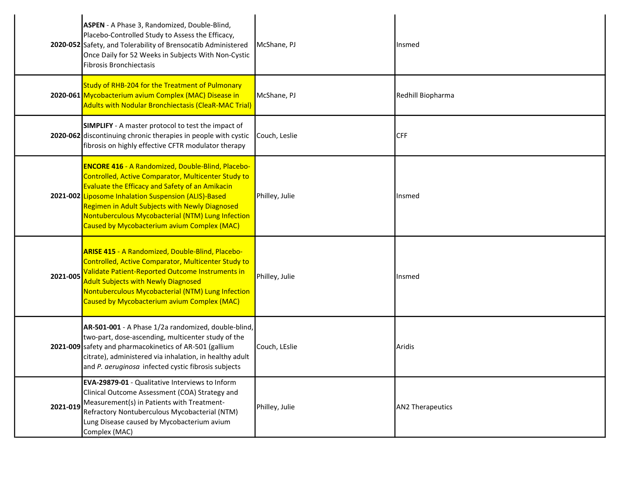|          | ASPEN - A Phase 3, Randomized, Double-Blind,<br>Placebo-Controlled Study to Assess the Efficacy,<br>2020-052 Safety, and Tolerability of Brensocatib Administered<br>Once Daily for 52 Weeks in Subjects With Non-Cystic<br>Fibrosis Bronchiectasis                                                                                                                                     | McShane, PJ    | <b>I</b> nsmed          |
|----------|-----------------------------------------------------------------------------------------------------------------------------------------------------------------------------------------------------------------------------------------------------------------------------------------------------------------------------------------------------------------------------------------|----------------|-------------------------|
|          | Study of RHB-204 for the Treatment of Pulmonary<br>2020-061 Mycobacterium avium Complex (MAC) Disease in<br><b>Adults with Nodular Bronchiectasis (CleaR-MAC Trial)</b>                                                                                                                                                                                                                 | McShane, PJ    | Redhill Biopharma       |
|          | <b>SIMPLIFY</b> - A master protocol to test the impact of<br>2020-062 discontinuing chronic therapies in people with cystic<br>fibrosis on highly effective CFTR modulator therapy                                                                                                                                                                                                      | Couch, Leslie  | <b>CFF</b>              |
|          | <b>ENCORE 416 - A Randomized, Double-Blind, Placebo-</b><br>Controlled, Active Comparator, Multicenter Study to<br><b>Evaluate the Efficacy and Safety of an Amikacin</b><br>2021-002 Liposome Inhalation Suspension (ALIS)-Based<br>Regimen in Adult Subjects with Newly Diagnosed<br>Nontuberculous Mycobacterial (NTM) Lung Infection<br>Caused by Mycobacterium avium Complex (MAC) | Philley, Julie | Insmed                  |
| 2021-005 | <b>ARISE 415 - A Randomized, Double-Blind, Placebo-</b><br>Controlled, Active Comparator, Multicenter Study to<br>Validate Patient-Reported Outcome Instruments in<br><b>Adult Subjects with Newly Diagnosed</b><br>Nontuberculous Mycobacterial (NTM) Lung Infection<br>Caused by Mycobacterium avium Complex (MAC)                                                                    | Philley, Julie | Insmed                  |
|          | AR-501-001 - A Phase 1/2a randomized, double-blind,<br>two-part, dose-ascending, multicenter study of the<br>2021-009 safety and pharmacokinetics of AR-501 (gallium<br>citrate), administered via inhalation, in healthy adult<br>and P. aeruginosa infected cystic fibrosis subjects                                                                                                  | Couch, LEslie  | Aridis                  |
| 2021-019 | EVA-29879-01 - Qualitative Interviews to Inform<br>Clinical Outcome Assessment (COA) Strategy and<br>Measurement(s) in Patients with Treatment-<br>Refractory Nontuberculous Mycobacterial (NTM)<br>Lung Disease caused by Mycobacterium avium<br>Complex (MAC)                                                                                                                         | Philley, Julie | <b>AN2 Therapeutics</b> |